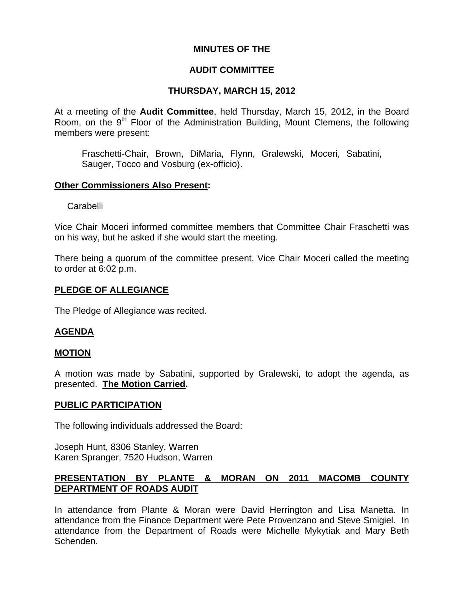### **MINUTES OF THE**

## **AUDIT COMMITTEE**

# **THURSDAY, MARCH 15, 2012**

At a meeting of the **Audit Committee**, held Thursday, March 15, 2012, in the Board Room, on the 9<sup>th</sup> Floor of the Administration Building, Mount Clemens, the following members were present:

Fraschetti-Chair, Brown, DiMaria, Flynn, Gralewski, Moceri, Sabatini, Sauger, Tocco and Vosburg (ex-officio).

### **Other Commissioners Also Present:**

Carabelli

Vice Chair Moceri informed committee members that Committee Chair Fraschetti was on his way, but he asked if she would start the meeting.

There being a quorum of the committee present, Vice Chair Moceri called the meeting to order at 6:02 p.m.

## **PLEDGE OF ALLEGIANCE**

The Pledge of Allegiance was recited.

## **AGENDA**

## **MOTION**

A motion was made by Sabatini, supported by Gralewski, to adopt the agenda, as presented. **The Motion Carried.** 

#### **PUBLIC PARTICIPATION**

The following individuals addressed the Board:

Joseph Hunt, 8306 Stanley, Warren Karen Spranger, 7520 Hudson, Warren

## **PRESENTATION BY PLANTE & MORAN ON 2011 MACOMB COUNTY DEPARTMENT OF ROADS AUDIT**

In attendance from Plante & Moran were David Herrington and Lisa Manetta. In attendance from the Finance Department were Pete Provenzano and Steve Smigiel. In attendance from the Department of Roads were Michelle Mykytiak and Mary Beth Schenden.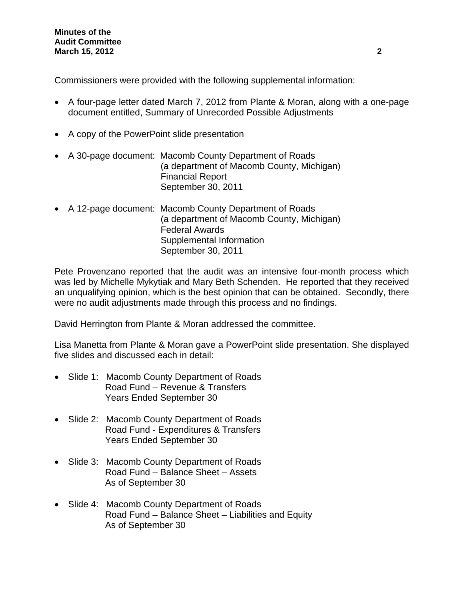Commissioners were provided with the following supplemental information:

- A four-page letter dated March 7, 2012 from Plante & Moran, along with a one-page document entitled, Summary of Unrecorded Possible Adjustments
- A copy of the PowerPoint slide presentation
- A 30-page document: Macomb County Department of Roads (a department of Macomb County, Michigan) Financial Report September 30, 2011
- A 12-page document: Macomb County Department of Roads (a department of Macomb County, Michigan) Federal Awards Supplemental Information September 30, 2011

Pete Provenzano reported that the audit was an intensive four-month process which was led by Michelle Mykytiak and Mary Beth Schenden. He reported that they received an unqualifying opinion, which is the best opinion that can be obtained. Secondly, there were no audit adjustments made through this process and no findings.

David Herrington from Plante & Moran addressed the committee.

Lisa Manetta from Plante & Moran gave a PowerPoint slide presentation. She displayed five slides and discussed each in detail:

- Slide 1: Macomb County Department of Roads Road Fund – Revenue & Transfers Years Ended September 30
- Slide 2: Macomb County Department of Roads Road Fund - Expenditures & Transfers Years Ended September 30
- Slide 3: Macomb County Department of Roads Road Fund – Balance Sheet – Assets As of September 30
- Slide 4: Macomb County Department of Roads Road Fund – Balance Sheet – Liabilities and Equity As of September 30